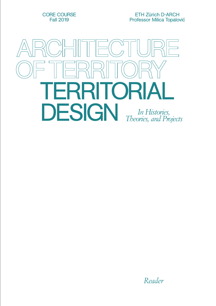CORE COURSE Fall 2019

ETH Zürich D-ARCH Professor Milica Topalović



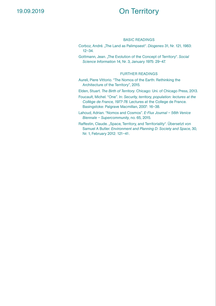## 19.09.2019

## On Territory

#### BASIC READINGS

- Corboz, André. "The Land as Palimpsest". *Diogenes* 31, Nr. 121, 1983: 12–34.
- Gottmann, Jean. "The Evolution of the Concept of Territory". *Social Science Information* 14, Nr. 3, January 1975: 29–47.

- Aureli, Piere Vittorio. "The Nomos of the Earth: Rethinking the Architecture of the Territory", 2015.
- Elden, Stuart. *The Birth of Territory*. Chicago: Uni. of Chicago Press, 2013.
- Foucault, Michel. "One". In: *Security, territory, population: lectures at the Collège de France, 1977-78*. Lectures at the College de France. Basingstoke: Palgrave Macmillan, 2007: 16–38.
- Lahoud, Adrian. "Nomos and Cosmos". *E-Flux Journal 56th Venice Biennale – Supercommunity*, no. 65, 2015.
- Raffestin, Claude. "Space, Territory, and Territoriality". Übersetzt von Samuel A Butler. *Environment and Planning D: Society and Space,* 30, Nr. 1, February 2012: 121–41.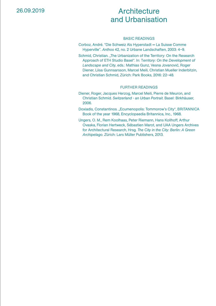## **Architecture** and Urbanisation

#### BASIC READINGS

Corboz, André. "Die Schweiz Als Hyperstadt = La Suisse Comme Hyperville". *Anthos* 42, no. 2 Urbane Landschaften, 2003: 4–9.

Schmid, Christian. "The Urbanization of the Territory: On the Research Approach of ETH Studio Basel". In: T*erritory: On the Development of Landscape and City*, eds.: Mathias Gunz, Vesna Jovanović, Roger Diener, Liisa Gunnsarsson, Marcel Meili, Christian Mueller Inderbitzin, and Christian Schmid, Zürich: Park Books, 2016: 22–48.

- Diener, Roger, Jacques Herzog, Marcel Meili, Pierre de Meuron, and Christian Schmid. *Switzerland - an Urban Portrait*. Basel: Birkhäuser, 2006.
- Doxiadis, Constantinos. "Ecumenopolis: Tommorow's City", BRITANNICA Book of the year 1968, Encyclopaedia Britannica, Inc., 1968.
- Ungers, O. M., Rem Koolhaas, Peter Riemann, Hans Kollhoff, Arthur Ovaska, Florian Hertweck, Sébastien Marot, and UAA Ungers Archives for Architectural Research, Hrsg. *The City in the City: Berlin: A Green Archipelago*. Zürich: Lars Müller Publishers, 2013.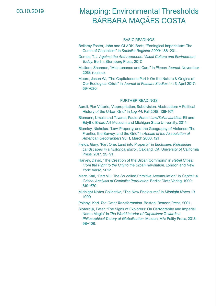### 03.10.2019

# Mapping: Environmental Thresholds BÁRBARA MAÇÃES COSTA

#### BASIC READINGS

- Bellamy Foster, John and CLARK, Brett, "Ecological Imperialism: The Curse of Capitalism" in *Socialist Register 2009*: 186–201.
- Demos, T. J. *Against the Anthropocene: Visual Culture and Environment Today*. Berlin: Sternberg Press, 2017.
- Mattern, Shannon, "Maintenance and Care" in *Places Journal*, November 2018, (online).

Moore, Jason W., "The Capitalocene Part I: On the Nature & Origins of Our Ecological Crisis" in *Journal of Peasant Studies* 44: 3, April 2017: 594-630.

- Aureli, Pier Vittorio, "Appropriation, Subdivision, Abstraction: A Political History of the Urban Grid" in *Log 44,* Fall 2018: 139-167.
- Biemann, Ursula and Tavares, Paulo, *Forest Law/Selva Jurídica*. Eli and Edythe Broad Art Museum and Michigan State University, 2014.
- Blomley, Nicholas, "Law, Property, and the Geography of Violence: The Frontier, the Survey, and the Grid" in *Annals of the Association of American Geographers* 93: 1, March 2003: 121.
- Fields, Gary, "Part One: Land into Property" in *Enclosure: Palestinian Landscapes in a Historical Mirror*. Oakland, CA: University of California Press, 2017: 23–91.
- Harvey, David, "The Creation of the Urban Commons" in *Rebel Cities: From the Right to the City to the Urban Revolution*. London and New York: Verso, 2012.
- Marx, Karl, "Part VIII: The So-called Primitive Accumulation" in *Capital: A Critical Analysis of Capitalist Production*. Berlin: Dietz Verlag, 1990: 619–670.
- Midnight Notes Collective, "The New Enclosures" in *Midnight Notes 10,*  1990.
- Polanyi, Karl, *The Great Transformation*. Boston: Beacon Press, 2001.
- Sloterdijk, Peter, "The Signs of Explorers: On Cartography and Imperial Name Magic" in *The World Interior of Capitalism: Towards a Philosophical Theory of Globalization*. Malden, MA: Polity Press, 2013: 98–108.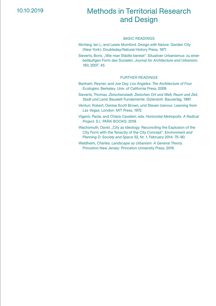## 10.10.2019

## Methods in Territorial Research and Design

#### BASIC READINGS

- McHarg, Ian L, and Lewis Mumford. *Design with Nature*. Garden City (New York): Doubleday/Natural History Press, 1971.
- Sieverts, Boris. "Wie man Städte bereist". Situativer Urbanismus: zu einer beiläufigen Form des Sozialen, *Journal for Architecture and Urbanism*, 183, 2007: 45.

- Banham, Reyner, and Joe Day. *Los Angeles: The Architecture of Four Ecologies*. Berkeley: Univ. of California Press, 2009.
- Sieverts, Thomas. *Zwischenstadt: Zwischen Ort und Welt, Raum und Zeit, Stadt und Land*. Bauwelt Fundamente. Gütersloh: Bauverlag, 1997.
- Venturi, Robert, Denise Scott Brown, und Steven Izenour. *Learning from Las Vegas*. London: MIT Press, 1972.
- Viganò, Paola, and Chiara Cavalieri, eds. *Horizontal Metropolis: A Radical Project*. S.l.: PARK BOOKS, 2019.
- Wachsmuth, David. "City as Ideology: Reconciling the Explosion of the City Form with the Tenacity of the City Concept". *Environment and Planning D: Society and Space* 32, Nr. 1, February 2014: 75–90.
- Waldheim, Charles. *Landscape as Urbanism: A General Theory*. Princeton New Jersey: Princeton University Press, 2016.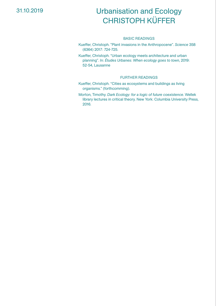## 31.10.2019

# Urbanisation and Ecology CHRISTOPH KÜFFER

#### BASIC READINGS

- Kueffer, Christoph. "Plant invasions in the Anthropocene". *Science* 358 (6364) 2017: 724-725.
- Kueffer, Christoph. "Urban ecology meets architecture and urban planning". In: *Études Urbanes: When ecology goes to town*, 2019: 52-54, Lausanne

- Kueffer, Christoph. "Cities as ecosystems and buildings as living organisms." (forthcomming).
- Morton, Timothy. *Dark Ecology: for a logic of future coexistence*. Wellek library lectures in critical theory. New York: Columbia University Press, 2016.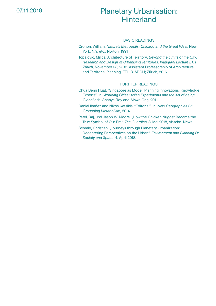## Planetary Urbanisation: **Hinterland**

#### BASIC READINGS

- Cronon, William. *Nature's Metropolis: Chicago and the Great West*. New York, N.Y. etc.: Norton, 1991.
- Topalović, Milica. Architecture of Territory: *Beyond the Limits of the City: Research and Design of Urbanising Territories: Inaugural Lecture ETH Zürich, November 30, 2015*. Assistant Professorship of Architecture and Territorial Planning, ETH D-ARCH; Zürich, 2016.

- Chua Beng Huat. "Singapore as Model: Planning Innovations, Knowledge Experts". In: *Worlding Cities: Asian Experiments and the Art of being Global* eds. Ananya Roy and Aihwa Ong, 2011.
- Daniel Ibañez and Nikos Katsikis. "Editorial". In: *New Geographies 06 Grounding Metabolism*, 2014.
- Patel, Raj, und Jason W. Moore. "How the Chicken Nugget Became the True Symbol of Our Era". *The Guardian*, 8. Mai 2018, Abschn. News.
- Schmid, Christian. "Journeys through Planetary Urbanization: Decentering Perspectives on the Urban". *Environment and Planning D: Society and Space*, 4. April 2018.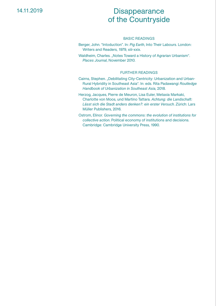### 14.11.2019

## **Disappearance** of the Countryside

#### BASIC READINGS

Berger, John. "Intoduction". In: *Pig Earth*, Into Their Labours. London: Writers and Readers, 1979, xiii-xxix.

Waldheim, Charles. "Notes Toward a History of Agrarian Urbanism". *Places Journal*, November 2010.

- Cairns, Stephen. "Debilitating City-Centricity: Urbanization and Urban-Rural Hybridity in Southeast Asia". In: eds. Rita Padawangi *Routledge Handbook of Urbanization in Southeast Asia*, 2018.
- Herzog, Jacques, Pierre de Meuron, Lisa Euler, Metaxia Markaki, Charlotte von Moos, und Martino Tattara. *Achtung: die Landschaft: Lässt sich die Stadt anders denken?: ein erster Versuch*. Zürich: Lars Müller Publishers, 2016.
- Ostrom, Elinor. *Governing the commons: the evolution of institutions for collective action*. Political economy of institutions and decisions. Cambridge: Cambridge University Press, 1990.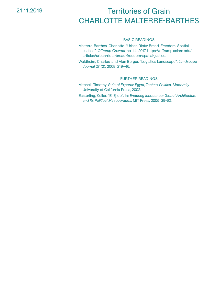### 21.11.2019

# Territories of Grain CHARLOTTE MALTERRE-BARTHES

#### BASIC READINGS

Malterre-Barthes, Charlotte. "Urban Riots: Bread, Freedom, Spatial Justice". *Offramp Crowds*, no. 14, 2017. https://offramp.sciarc.edu/ articles/urban-riots-bread-freedom-spatial-justice.

Waldheim, Charles, and Alan Berger. "Logistics Landscape". *Landscape Journal* 27 (2), 2008: 219–46.

#### FURTHER READINGS

Mitchell, Timothy. *Rule of Experts: Egypt, Techno-Politics, Modernity*. University of California Press, 2002.

Easterling, Keller. "El Ejido". In: *Enduring Innocence: Global Architecture and Its Political Masquerades*. MIT Press, 2005: 39-62.